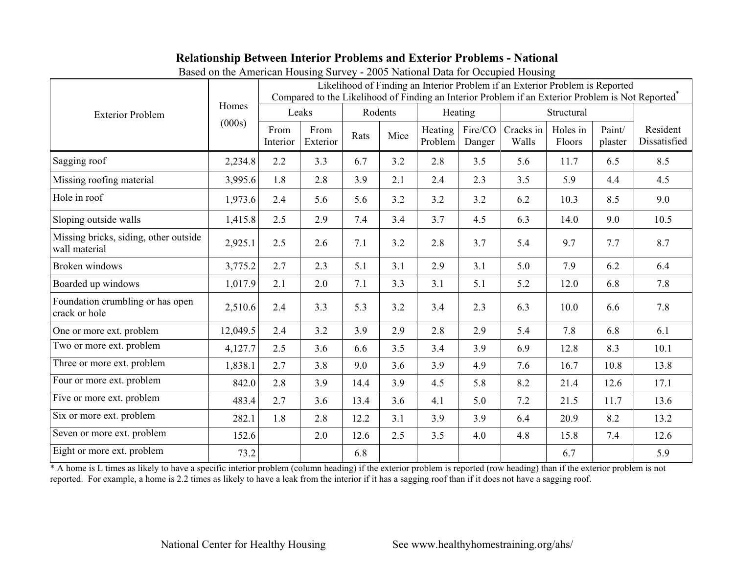## **Relationship Between Interior Problems and Exterior Problems - National**

| <b>Exterior Problem</b>                                | Homes<br>(000s) | $\circ$<br>Likelihood of Finding an Interior Problem if an Exterior Problem is Reported<br>Compared to the Likelihood of Finding an Interior Problem if an Exterior Problem is Not Reported <sup>*</sup> |                  |         |      |                    |                   |                    |                    |                   |                          |
|--------------------------------------------------------|-----------------|----------------------------------------------------------------------------------------------------------------------------------------------------------------------------------------------------------|------------------|---------|------|--------------------|-------------------|--------------------|--------------------|-------------------|--------------------------|
|                                                        |                 | Leaks                                                                                                                                                                                                    |                  | Rodents |      | Heating            |                   | Structural         |                    |                   |                          |
|                                                        |                 | From<br>Interior                                                                                                                                                                                         | From<br>Exterior | Rats    | Mice | Heating<br>Problem | Fire/CO<br>Danger | Cracks in<br>Walls | Holes in<br>Floors | Paint/<br>plaster | Resident<br>Dissatisfied |
| Sagging roof                                           | 2,234.8         | 2.2                                                                                                                                                                                                      | 3.3              | 6.7     | 3.2  | 2.8                | 3.5               | 5.6                | 11.7               | 6.5               | 8.5                      |
| Missing roofing material                               | 3,995.6         | 1.8                                                                                                                                                                                                      | 2.8              | 3.9     | 2.1  | 2.4                | 2.3               | 3.5                | 5.9                | 4.4               | 4.5                      |
| Hole in roof                                           | 1,973.6         | 2.4                                                                                                                                                                                                      | 5.6              | 5.6     | 3.2  | 3.2                | 3.2               | 6.2                | 10.3               | 8.5               | 9.0                      |
| Sloping outside walls                                  | 1,415.8         | 2.5                                                                                                                                                                                                      | 2.9              | 7.4     | 3.4  | 3.7                | 4.5               | 6.3                | 14.0               | 9.0               | 10.5                     |
| Missing bricks, siding, other outside<br>wall material | 2,925.1         | 2.5                                                                                                                                                                                                      | 2.6              | 7.1     | 3.2  | 2.8                | 3.7               | 5.4                | 9.7                | 7.7               | 8.7                      |
| Broken windows                                         | 3,775.2         | 2.7                                                                                                                                                                                                      | 2.3              | 5.1     | 3.1  | 2.9                | 3.1               | 5.0                | 7.9                | 6.2               | 6.4                      |
| Boarded up windows                                     | 1,017.9         | 2.1                                                                                                                                                                                                      | 2.0              | 7.1     | 3.3  | 3.1                | 5.1               | 5.2                | 12.0               | 6.8               | 7.8                      |
| Foundation crumbling or has open<br>crack or hole      | 2,510.6         | 2.4                                                                                                                                                                                                      | 3.3              | 5.3     | 3.2  | 3.4                | 2.3               | 6.3                | 10.0               | 6.6               | 7.8                      |
| One or more ext. problem                               | 12,049.5        | 2.4                                                                                                                                                                                                      | 3.2              | 3.9     | 2.9  | 2.8                | 2.9               | 5.4                | 7.8                | 6.8               | 6.1                      |
| Two or more ext. problem                               | 4,127.7         | 2.5                                                                                                                                                                                                      | 3.6              | 6.6     | 3.5  | 3.4                | 3.9               | 6.9                | 12.8               | 8.3               | 10.1                     |
| Three or more ext. problem                             | 1,838.1         | 2.7                                                                                                                                                                                                      | 3.8              | 9.0     | 3.6  | 3.9                | 4.9               | 7.6                | 16.7               | 10.8              | 13.8                     |
| Four or more ext. problem                              | 842.0           | 2.8                                                                                                                                                                                                      | 3.9              | 14.4    | 3.9  | 4.5                | 5.8               | 8.2                | 21.4               | 12.6              | 17.1                     |
| Five or more ext. problem                              | 483.4           | 2.7                                                                                                                                                                                                      | 3.6              | 13.4    | 3.6  | 4.1                | 5.0               | 7.2                | 21.5               | 11.7              | 13.6                     |
| Six or more ext. problem                               | 282.1           | 1.8                                                                                                                                                                                                      | 2.8              | 12.2    | 3.1  | 3.9                | 3.9               | 6.4                | 20.9               | 8.2               | 13.2                     |
| Seven or more ext. problem                             | 152.6           |                                                                                                                                                                                                          | 2.0              | 12.6    | 2.5  | 3.5                | 4.0               | 4.8                | 15.8               | 7.4               | 12.6                     |
| Eight or more ext. problem                             | 73.2            |                                                                                                                                                                                                          |                  | 6.8     |      |                    |                   |                    | 6.7                |                   | 5.9                      |

Based on the American Housing Survey - 2005 National Data for Occupied Housing

\* A home is L times as likely to have a specific interior problem (column heading) if the exterior problem is reported (row heading) than if the exterior problem is not reported. For example, a home is 2.2 times as likely to have a leak from the interior if it has a sagging roof than if it does not have a sagging roof.